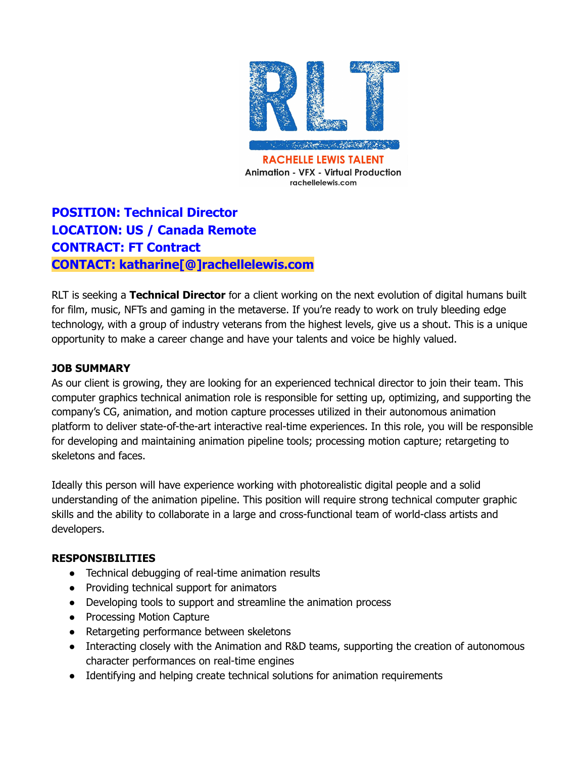

**Animation - VFX - Virtual Production** rachellelewis.com

# **POSITION: Technical Director LOCATION: US / Canada Remote CONTRACT: FT Contract CONTACT: katharine[@]rachellelewis.com**

RLT is seeking a **Technical Director** for a client working on the next evolution of digital humans built for film, music, NFTs and gaming in the metaverse. If you're ready to work on truly bleeding edge technology, with a group of industry veterans from the highest levels, give us a shout. This is a unique opportunity to make a career change and have your talents and voice be highly valued.

#### **JOB SUMMARY**

As our client is growing, they are looking for an experienced technical director to join their team. This computer graphics technical animation role is responsible for setting up, optimizing, and supporting the company's CG, animation, and motion capture processes utilized in their autonomous animation platform to deliver state-of-the-art interactive real-time experiences. In this role, you will be responsible for developing and maintaining animation pipeline tools; processing motion capture; retargeting to skeletons and faces.

Ideally this person will have experience working with photorealistic digital people and a solid understanding of the animation pipeline. This position will require strong technical computer graphic skills and the ability to collaborate in a large and cross-functional team of world-class artists and developers.

#### **RESPONSIBILITIES**

- Technical debugging of real-time animation results
- Providing technical support for animators
- Developing tools to support and streamline the animation process
- Processing Motion Capture
- Retargeting performance between skeletons
- Interacting closely with the Animation and R&D teams, supporting the creation of autonomous character performances on real-time engines
- Identifying and helping create technical solutions for animation requirements